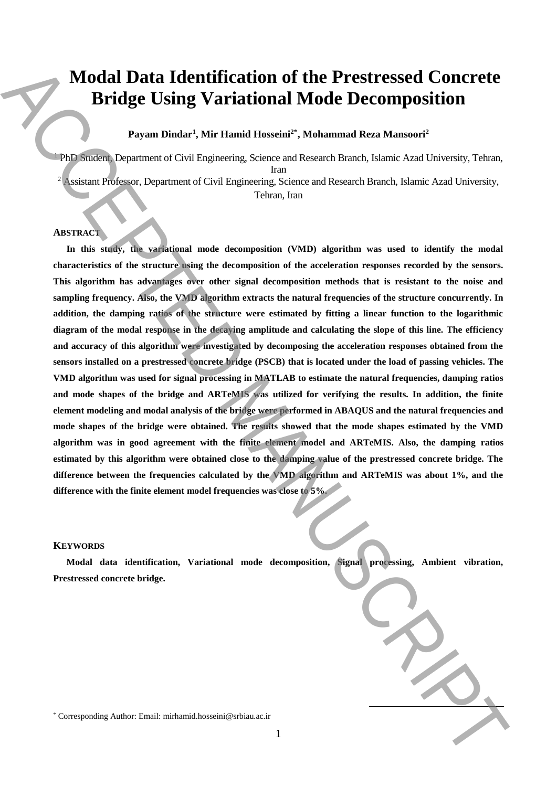# **Modal Data Identification of the Prestressed Concrete Bridge Using Variational Mode Decomposition**

# **Payam Dindar<sup>1</sup> , Mir Hamid Hosseini2\* \*, Mohammad Reza Mansoori<sup>2</sup>**

<sup>1</sup> PhD Student, Department of Civil Engineering, Science and Research Branch, Islamic Azad University, Tehran, Iran

<sup>2</sup> Assistant Professor, Department of Civil Engineering, Science and Research Branch, Islamic Azad University, Tehran, Iran

## **ABSTRACT**

**In this study, the variational mode decomposition (VMD) algorithm was used to identify the modal characteristics of the structure using the decomposition of the acceleration responses recorded by the sensors. This algorithm has advantages over other signal decomposition methods that is resistant to the noise and sampling frequency. Also, the VMD algorithm extracts the natural frequencies of the structure concurrently. In addition, the damping ratios of the structure were estimated by fitting a linear function to the logarithmic diagram of the modal response in the decaying amplitude and calculating the slope of this line. The efficiency and accuracy of this algorithm were investigated by decomposing the acceleration responses obtained from the sensors installed on a prestressed concrete bridge (PSCB) that is located under the load of passing vehicles. The VMD algorithm was used for signal processing in MATLAB to estimate the natural frequencies, damping ratios**  and mode shapes of the bridge and ARTeMIS was utilized for verifying the results. In addition, the finite **element modeling and modal analysis of the bridge were performed in ABAQUS and the natural frequencies and mode shapes of the bridge were obtained. The results showed that the mode shapes estimated by the VMD algorithm was in good agreement with the finite element model and ARTeMIS. Also, the damping ratios estimated by this algorithm were obtained close to the damping value of the prestressed concrete bridge. The difference between the frequencies calculated by the VMD algorithm and ARTeMIS was about 1%, and the difference with the finite element model frequencies was close to 5%.** Model Data Identification of the Prestressed Concrete<br>
Bridge Using Variational Mode Decomposition<br>  $\sum_{n=1}^{\infty}$  Corresponding Author: Although Name and Research Data Kanada Kan Manuscrite<br>  $\sum_{n=1}^{\infty}$  Corresponding

### **KEYWORDS**

**Modal data identification, Variational mode decomposition, Signal processing, Ambient vibration, Prestressed concrete bridge.**

**.**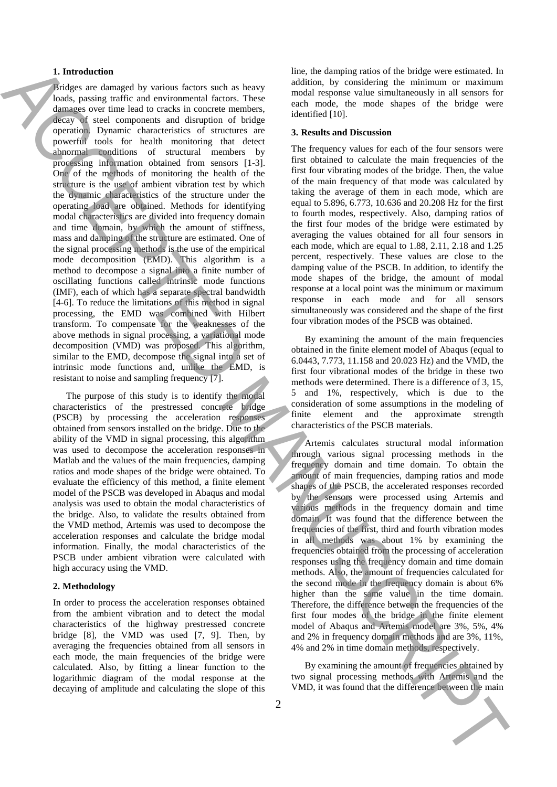#### **1. Introduction**

Bridges are damaged by various factors such as heavy loads, passing traffic and environmental factors. These damages over time lead to cracks in concrete members, decay of steel components and disruption of bridge operation. Dynamic characteristics of structures are powerful tools for health monitoring that detect abnormal conditions of structural members by processing information obtained from sensors [1-3]. One of the methods of monitoring the health of the structure is the use of ambient vibration test by which the dynamic characteristics of the structure under the operating load are obtained. Methods for identifying modal characteristics are divided into frequency domain and time domain, by which the amount of stiffness, mass and damping of the structure are estimated. One of the signal processing methods is the use of the empirical mode decomposition (EMD). This algorithm is a method to decompose a signal into a finite number of oscillating functions called intrinsic mode functions (IMF), each of which has a separate spectral bandwidth [4-6]. To reduce the limitations of this method in signal processing, the EMD was combined with Hilbert transform. To compensate for the weaknesses of the above methods in signal processing, a variational mode decomposition (VMD) was proposed. This algorithm, similar to the EMD, decompose the signal into a set of intrinsic mode functions and, unlike the EMD, is resistant to noise and sampling frequency [7]. The three strengthenia control is a strengthenia of the later strengthenia of the difference between the difference between the difference between the difference between the difference between the difference between the d

The purpose of this study is to identify the modal characteristics of the prestressed concrete bridge (PSCB) by processing the acceleration responses obtained from sensors installed on the bridge. Due to the ability of the VMD in signal processing, this algorithm was used to decompose the acceleration responses in Matlab and the values of the main frequencies, damping ratios and mode shapes of the bridge were obtained. To evaluate the efficiency of this method, a finite element model of the PSCB was developed in Abaqus and modal analysis was used to obtain the modal characteristics of the bridge. Also, to validate the results obtained from the VMD method, Artemis was used to decompose the acceleration responses and calculate the bridge modal information. Finally, the modal characteristics of the PSCB under ambient vibration were calculated with high accuracy using the VMD.

#### **2. Methodology**

In order to process the acceleration responses obtained from the ambient vibration and to detect the modal characteristics of the highway prestressed concrete bridge [8], the VMD was used [7, 9]. Then, by averaging the frequencies obtained from all sensors in each mode, the main frequencies of the bridge were calculated. Also, by fitting a linear function to the logarithmic diagram of the modal response at the decaying of amplitude and calculating the slope of this

line, the damping ratios of the bridge were estimated. In addition, by considering the minimum or maximum modal response value simultaneously in all sensors for each mode, the mode shapes of the bridge were identified [10].

#### **3. Results and Discussion**

The frequency values for each of the four sensors were first obtained to calculate the main frequencies of the first four vibrating modes of the bridge. Then, the value of the main frequency of that mode was calculated by taking the average of them in each mode, which are equal to 5.896, 6.773, 10.636 and 20.208 Hz for the first to fourth modes, respectively. Also, damping ratios of the first four modes of the bridge were estimated by averaging the values obtained for all four sensors in each mode, which are equal to 1.88, 2.11, 2.18 and 1.25 percent, respectively. These values are close to the damping value of the PSCB. In addition, to identify the mode shapes of the bridge, the amount of modal response at a local point was the minimum or maximum response in each mode and for all sensors simultaneously was considered and the shape of the first four vibration modes of the PSCB was obtained.

By examining the amount of the main frequencies obtained in the finite element model of Abaqus (equal to 6.0443, 7.773, 11.158 and 20.023 Hz) and the VMD, the first four vibrational modes of the bridge in these two methods were determined. There is a difference of 3, 15, 5 and 1%, respectively, which is due to the consideration of some assumptions in the modeling of finite element and the approximate strength characteristics of the PSCB materials.

Artemis calculates structural modal information through various signal processing methods in the frequency domain and time domain. To obtain the amount of main frequencies, damping ratios and mode shapes of the PSCB, the accelerated responses recorded by the sensors were processed using Artemis and various methods in the frequency domain and time domain. It was found that the difference between the frequencies of the first, third and fourth vibration modes in all methods was about 1% by examining the frequencies obtained from the processing of acceleration responses using the frequency domain and time domain methods. Also, the amount of frequencies calculated for the second mode in the frequency domain is about 6% higher than the same value in the time domain. Therefore, the difference between the frequencies of the first four modes of the bridge in the finite element model of Abaqus and Artemis model are 3%, 5%, 4% and 2% in frequency domain methods and are 3%, 11%, 4% and 2% in time domain methods, respectively.

By examining the amount of frequencies obtained by two signal processing methods with Artemis and the